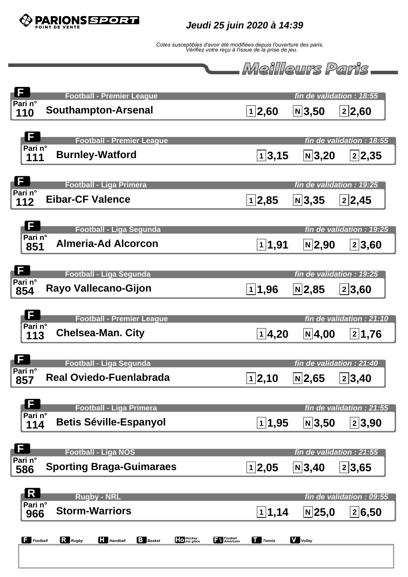

**Jeudi 25 juin 2020 à 14:39**



| F<br><b>Football - Premier League</b>                                                                                                |                         | fin de validation : 18:55 |                           |
|--------------------------------------------------------------------------------------------------------------------------------------|-------------------------|---------------------------|---------------------------|
| Pari n°<br><b>Southampton-Arsenal</b><br>110                                                                                         | 1 2,60                  | $ N $ 3,50                | 2 2,60                    |
|                                                                                                                                      |                         |                           |                           |
| $\mathbf{F}$<br><b>Football - Premier League</b><br>Pari n°                                                                          |                         |                           | fin de validation : 18:55 |
| <b>Burnley-Watford</b><br>111                                                                                                        | 1 3,15                  | $ N $ 3,20                | 2 2,35                    |
| F                                                                                                                                    |                         |                           |                           |
| <b>Football - Liga Primera</b><br>Pari n°<br><b>Eibar-CF Valence</b>                                                                 |                         |                           | fin de validation : 19:25 |
| 112                                                                                                                                  | 1 2,85                  | $ N $ 3,35                | 2 2,45                    |
| F<br><b>Football - Liga Segunda</b>                                                                                                  |                         |                           | fin de validation : 19:25 |
| Pari n°<br><b>Almeria-Ad Alcorcon</b><br>851                                                                                         | 1 1,91                  | $N$  2,90                 | 2 3,60                    |
|                                                                                                                                      |                         |                           |                           |
| F<br><b>Football - Liga Segunda</b>                                                                                                  |                         |                           | fin de validation : 19:25 |
| Pari n°<br>Rayo Vallecano-Gijon<br>854                                                                                               | $\boxed{1}$ <b>1,96</b> | $N$  2,85                 | 2 3,60                    |
|                                                                                                                                      |                         |                           |                           |
| F<br><b>Football - Premier League</b><br>Pari n°                                                                                     |                         |                           | fin de validation : 21:10 |
| <b>Chelsea-Man. City</b><br>113                                                                                                      | 1 4,20                  | $N$ 4,00                  | 2 1,76                    |
| F                                                                                                                                    |                         |                           |                           |
| <b>Football - Liga Segunda</b><br>Pari n°                                                                                            |                         | fin de validation : 21:40 |                           |
| <b>Real Oviedo-Fuenlabrada</b><br>857                                                                                                | 1 2,10                  | $ N $ 2,65                | 2 3,40                    |
| Ţ                                                                                                                                    |                         |                           |                           |
| <b>Football - Liga Primera</b><br>Pari n°<br><b>Betis Séville-Espanyol</b>                                                           |                         |                           | fin de validation : 21:55 |
| 114                                                                                                                                  | 1 1,95                  | $N$ 3,50                  | 2 3,90                    |
| F<br><b>Football - Liga NOS</b>                                                                                                      |                         | fin de validation : 21:55 |                           |
| Pari n°<br><b>Sporting Braga-Guimaraes</b><br>586                                                                                    | 1 2,05                  | $ N $ 3,40                | 2 3,65                    |
|                                                                                                                                      |                         |                           |                           |
| $\overline{\mathbf{R}}$<br><b>Rugby - NRL</b>                                                                                        |                         |                           | fin de validation : 09:55 |
| Pari n°<br><b>Storm-Warriors</b><br>966                                                                                              | 1 1,14                  | $N$  25,0                 | 2 6,50                    |
|                                                                                                                                      |                         |                           |                           |
| <b>Francisco</b><br><b>S</b> Américain<br>Hockey<br>Sur glace<br>$R$ Rugby<br>$\prod$ Handball<br>$\Box$ Football<br><b>B</b> Basket | $\prod$ Tennis          | <b>V</b> Volley           |                           |
|                                                                                                                                      |                         |                           |                           |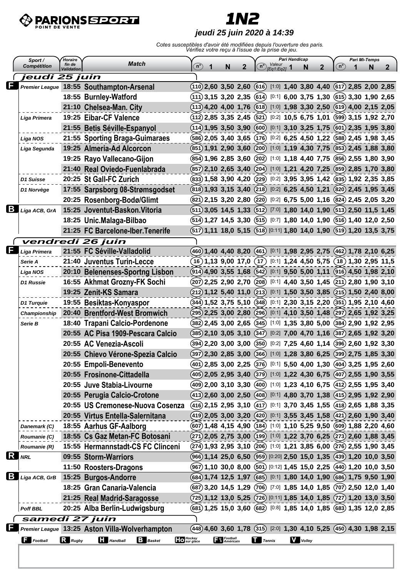

## **1N2**

#### **jeudi 25 juin 2020 à 14:39**

| $\binom{n}{2}$<br>Validation<br>IEa1:Ea21<br>jeudi 25 juin<br>Premier League 18:55 Southampton-Arsenal<br>$(110)$ 2,60 3,50 2,60 (616) [1:0] 1,40 3,80 4,40 (617) 2,85 2,00 2,85<br>$(11)$ 3,15 3,20 2,35 $(614)$<br>$[0:1]$ 6,00 3,75 1,30 (615) 3,30 1,90 2,65<br>18:55 Burnley-Watford<br>$(113)$ 4,20 4,00 1,76 (618) [1:0] 1,98 3,30 2,50 (619) 4,00 2,15 2,05<br>21:10 Chelsea-Man. City<br>19:25 Eibar-CF Valence<br>$(112)$ 2,85 3,35 2,45 $(521)$<br>$[0:2]$ 10,5 6,75 1,01 (599) 3,15 1,92 2,70<br>Liga Primera<br>21:55 Betis Séville-Espanyol<br>$(114)$ 1,95 3,50 3,90 (600) [0:1] 3,10 3,25 1,75 (601) 2,35 1,95 3,80<br>$[0.2]$ 6,25 4,50 1,22 (588) 2,45 1,98 3,45<br>21:55 Sporting Braga-Guimaraes<br>$(586)$ 2,05 3,40 3,65 $(176)$<br>Liga NOS<br>19:25 Almeria-Ad Alcorcon<br>(851) 1,91 2,90 3,60 (200) [1:0] 1,19 4,30 7,75 (853) 2,45 1,88 3,80<br>Liga Segunda<br>$(854)$ 1,96 2,85 3,60 $(202)$<br>$[1:0]$ 1,18 4,40 7,75 (856) 2,55 1,80 3,90<br>19:25 Rayo Vallecano-Gijon<br>21:40 Real Oviedo-Fuenlabrada<br>(857) 2,10 2,65 3,40 (204) [1:0] 1,21 4,20 7,25 (859) 2,85 1,70 3,80<br>20:25 St Gall-FC Zurich<br>$[0:2]$ 3,95 3,95 1,42 $(835)$ 1,92 2,35 3,85<br>$(833)$ 1,58 3,90 4,20 $(229)$<br>D1 Suisse<br>$(818)$ 1,93 3,15 3,40 $(218)$ [0:2] 6,25 4,50 1,21 $(820)$ 2,45 1,95 3,45<br>17:55 Sarpsborg 08-Strømsgodset<br>D1 Norvège<br>20:25 Rosenborg-Bodø/Glimt<br>$(821)$ 2,15 3,20 2,80 $(220)$<br>$[0.2]$ 6,75 5,00 1,16 $(824)$ 2,45 2,05 3,20<br>B<br>15:25 Joventut-Baskon. Vitoria<br>$(511)$ 3,05 14,5 1,33 $(512)$ $[7:0]$ 1,80 14,0 1,90 $(513)$ 2,50 11,5 1,45<br>Liga ACB, GrA<br>$(514)$ 1,27 14,5 3,30 $(515)$ [0:7] 1,80 14,0 1,90 $(516)$ 1,40 12,0 2,50<br>18:25 Unic.Malaga-Bilbao<br>$(517)$ 1,11 18,0 5,15 $(518)$ [0:11] 1,80 14,0 1,90 $(519)$ 1,20 13,5 3,75<br>21:25 FC Barcelone-Iber. Tenerife<br>vendredi 26 juin<br>21:55 FC Séville-Valladolid<br>460 1,40 4,40 8,20 (461) [0:1] 1,98 2,95 2,75 (462) 1,78 2,10 6,25<br>Liga Primera<br>$[0:1]$ 1,24 4,50 5,75 (18) 1,30 2,95 11,5<br>21:40 Juventus Turin-Lecce<br>$(16)$ 1,13 9,00 17,0<br>(17)<br>Serie A<br>$(914)$ 4,90 3,55 1,68 $(542)$ [0:1] 9,50 5,00 1,11 $(916)$ 4,50 1,98 2,10<br>20:10 Belenenses-Sportng Lisbon<br><b>Liga NOS</b><br>$[0:1]$ 4,40 3,50 1,45 $(211)$ 2,80 1,90 3,10<br>16:55 Akhmat Grozny-FK Sochi<br>$(207)$ 2,25 2,90 2,70 $(208)$<br>D1 Russie<br>19:25 Zenit-KS Samara<br>$(212)$ 1,12 5,40 11,0 $(213)$ [0:1] 1,50 3,50 3,85 $(215)$ 1,50 2,40 8,00<br>$(344)$ 1,52 3,75 5,10 $(348)$<br>$[0:1]$ 2,30 3,15 2,20 (351) 1,95 2,10 4,60<br>19:55 Besiktas-Konyaspor<br>D1 Turquie<br>(295) 2,25 3,00 2,80 (296) [0:1] 4,10 3,50 1,48 (297) 2,65 1,92 3,25<br>20:40 Brentford-West Bromwich<br>Championship<br>$(382)$ 2,45 3,00 2,65 $(345)$<br>$[1:0]$ 1,35 3,80 5,00 (384) 2,90 1,92 2,95<br>18:40 Trapani Calcio-Pordenone<br>Serie B<br>20:55 AC Pisa 1909-Pescara Calcio<br>$(385)$ 2,10 3,05 3,10 $(347)$<br>$[0:2]$ 7,00 4,70 1,16 (387) 2,65 1,92 3,20<br>$(394)$ 2,20 3,00 3,00 $(350)$<br>$[0:2]$ 7,25 4,60 1,14 (396) 2,60 1,92 3,30<br>20:55 AC Venezia-Ascoli<br>(397) 2,30 2,85 3,00 (366) [1:0] 1,28 3,80 6,25 (399) 2,75 1,85 3,30<br>20:55 Chievo Vérone-Spezia Calcio<br>(401) 2,85 3,00 2,25 (376) [0:1] 5,50 4,00 1,30 (404) 3,25 1,95 2,60<br>20:55 Empoli-Benevento<br>(405) 2,05 2,95 3,40 (379) [1:0] 1,22 4,30 6,75 (407) 2,55 1,90 3,55<br>20:55 Frosinone-Cittadella<br>(409) 2,00 3,10 3,30 (400) [1:0] 1,23 4,10 6,75 (412) 2,55 1,95 3,40<br>20:55 Juve Stabia-Livourne<br>(413) 2,60 3,00 2,50 (408) [0:1] 4,80 3,70 1,38 (415) 2,95 1,92 2,90<br>20:55 Perugia Calcio-Crotone<br>$(416)$ 2,15 2,95 3,10 $(417)$ [0:1] 3,70 3,45 1,55 $(418)$ 2,65 1,88 3,35<br>20:55 US Cremonese-Nuova Cosenza<br>$(419)$ 2,05 3,00 3,20 $(420)$ [0:1] 3,55 3,45 1,58 $(421)$ 2,60 1,90 3,40<br>20:55 Virtus Entella-Salernitana<br>(607) 1,48 4,15 4,90 (184) [1:0] 1,10 5,25 9,50 (609) 1,88 2,20 4,60<br>18:55 Aarhus GF-Aalborg<br>Danemark (C)<br>$(271)$ 2,05 2,75 3,00 (199) [1:0] 1,22 3,70 6,25 (273) 2,60 1,88 3,45<br>18:55 Cs Gaz Metan-FC Botosani<br>Roumanie (C)<br>$(274)$ 1,93 2,95 3,10 $(206)$ [1:0] 1,21 3,85 6,00 $(276)$ 2,55 1,90 3,45<br>15:55 Hermannstadt-CS FC Clinceni<br>Roumanie (R)<br>(966) 1,14 25,0 6,50 (959) [0:20] 2,50 15,0 1,35 (439) 1,20 10,0 3,50<br>09:55 Storm-Warriors<br><b>NRL</b><br>(967) 1,10 30,0 8,00 (501) [0:12] 1,45 15,0 2,25 (440) 1,20 10,0 3,50<br>11:50 Roosters-Dragons<br>(684) 1,74 12,5 1,97 (685) [0:1] 1,80 14,0 1,90 (686) 1,75 9,50 1,90<br>15:25 Burgos-Andorre<br>18:25 Gran Canaria-Valencia<br>(687) 3,20 14,5 1,29 (706) [7:0] 1,85 14,0 1,85 (707) 2,50 12,0 1,40<br>$(725)$ 1,12 13,0 5,25 $(726)$ [0:11] 1,85 14,0 1,85 $(727)$ 1,20 13,0 3,50<br>21:25 Real Madrid-Saragosse<br>(681) 1,25 15,0 3,60 (682) [0:8] 1,85 14,0 1,85 (683) 1,35 12,0 2,85<br>20:25 Alba Berlin-Ludwigsburg<br><b>Poff BBL</b><br>samedi 27 juin<br>(448) 4,60 3,60 1,78 (315) [2:0] 1,30 4,10 5,25 (450) 4,30 1,98 2,15<br>Premier League 13:25 Aston Villa-Wolverhampton<br>Hockey<br>Sur glace<br><b>Francisco Football</b><br><b>V</b> Volley<br>$\Box$ Football<br>$R$ Rugby<br><b>Handball</b><br><b>B</b> Basket<br>$\prod$ Tennis | Horaire<br>Sport /<br><b>Match</b><br>fin de |  |  |   |   | Pari Handicap<br>Valeur |                      |  |  |   |              | Pari Mi-Temps |  |   |   |
|-------------------------------------------------------------------------------------------------------------------------------------------------------------------------------------------------------------------------------------------------------------------------------------------------------------------------------------------------------------------------------------------------------------------------------------------------------------------------------------------------------------------------------------------------------------------------------------------------------------------------------------------------------------------------------------------------------------------------------------------------------------------------------------------------------------------------------------------------------------------------------------------------------------------------------------------------------------------------------------------------------------------------------------------------------------------------------------------------------------------------------------------------------------------------------------------------------------------------------------------------------------------------------------------------------------------------------------------------------------------------------------------------------------------------------------------------------------------------------------------------------------------------------------------------------------------------------------------------------------------------------------------------------------------------------------------------------------------------------------------------------------------------------------------------------------------------------------------------------------------------------------------------------------------------------------------------------------------------------------------------------------------------------------------------------------------------------------------------------------------------------------------------------------------------------------------------------------------------------------------------------------------------------------------------------------------------------------------------------------------------------------------------------------------------------------------------------------------------------------------------------------------------------------------------------------------------------------------------------------------------------------------------------------------------------------------------------------------------------------------------------------------------------------------------------------------------------------------------------------------------------------------------------------------------------------------------------------------------------------------------------------------------------------------------------------------------------------------------------------------------------------------------------------------------------------------------------------------------------------------------------------------------------------------------------------------------------------------------------------------------------------------------------------------------------------------------------------------------------------------------------------------------------------------------------------------------------------------------------------------------------------------------------------------------------------------------------------------------------------------------------------------------------------------------------------------------------------------------------------------------------------------------------------------------------------------------------------------------------------------------------------------------------------------------------------------------------------------------------------------------------------------------------------------------------------------------------------------------------------------------------------------------------------------------------------------------------------------------------------------------------------------------------------------------------------------------------------------------------------------------------------------------------------------------------------------------------------------------------------------------------------------------------------------------------------------------------------------------------------------------------------------------------------------------------------------------------------------------------------------------------------------------------------------------------------------------------------------------------------------------------------------------------------------------------------------------------------------------------------------------------------------------------------------------------------------------------------------------------------------------------------------------|----------------------------------------------|--|--|---|---|-------------------------|----------------------|--|--|---|--------------|---------------|--|---|---|
|                                                                                                                                                                                                                                                                                                                                                                                                                                                                                                                                                                                                                                                                                                                                                                                                                                                                                                                                                                                                                                                                                                                                                                                                                                                                                                                                                                                                                                                                                                                                                                                                                                                                                                                                                                                                                                                                                                                                                                                                                                                                                                                                                                                                                                                                                                                                                                                                                                                                                                                                                                                                                                                                                                                                                                                                                                                                                                                                                                                                                                                                                                                                                                                                                                                                                                                                                                                                                                                                                                                                                                                                                                                                                                                                                                                                                                                                                                                                                                                                                                                                                                                                                                                                                                                                                                                                                                                                                                                                                                                                                                                                                                                                                                                                                                                                                                                                                                                                                                                                                                                                                                                                                                                                                                                                         | <b>Compétition</b>                           |  |  | 1 | N | $\mathbf{2}$            | $\mathsf{n}^{\circ}$ |  |  | N | $\mathbf{2}$ | $n^{\circ}$   |  | N | 2 |
|                                                                                                                                                                                                                                                                                                                                                                                                                                                                                                                                                                                                                                                                                                                                                                                                                                                                                                                                                                                                                                                                                                                                                                                                                                                                                                                                                                                                                                                                                                                                                                                                                                                                                                                                                                                                                                                                                                                                                                                                                                                                                                                                                                                                                                                                                                                                                                                                                                                                                                                                                                                                                                                                                                                                                                                                                                                                                                                                                                                                                                                                                                                                                                                                                                                                                                                                                                                                                                                                                                                                                                                                                                                                                                                                                                                                                                                                                                                                                                                                                                                                                                                                                                                                                                                                                                                                                                                                                                                                                                                                                                                                                                                                                                                                                                                                                                                                                                                                                                                                                                                                                                                                                                                                                                                                         |                                              |  |  |   |   |                         |                      |  |  |   |              |               |  |   |   |
| R                                                                                                                                                                                                                                                                                                                                                                                                                                                                                                                                                                                                                                                                                                                                                                                                                                                                                                                                                                                                                                                                                                                                                                                                                                                                                                                                                                                                                                                                                                                                                                                                                                                                                                                                                                                                                                                                                                                                                                                                                                                                                                                                                                                                                                                                                                                                                                                                                                                                                                                                                                                                                                                                                                                                                                                                                                                                                                                                                                                                                                                                                                                                                                                                                                                                                                                                                                                                                                                                                                                                                                                                                                                                                                                                                                                                                                                                                                                                                                                                                                                                                                                                                                                                                                                                                                                                                                                                                                                                                                                                                                                                                                                                                                                                                                                                                                                                                                                                                                                                                                                                                                                                                                                                                                                                       |                                              |  |  |   |   |                         |                      |  |  |   |              |               |  |   |   |
|                                                                                                                                                                                                                                                                                                                                                                                                                                                                                                                                                                                                                                                                                                                                                                                                                                                                                                                                                                                                                                                                                                                                                                                                                                                                                                                                                                                                                                                                                                                                                                                                                                                                                                                                                                                                                                                                                                                                                                                                                                                                                                                                                                                                                                                                                                                                                                                                                                                                                                                                                                                                                                                                                                                                                                                                                                                                                                                                                                                                                                                                                                                                                                                                                                                                                                                                                                                                                                                                                                                                                                                                                                                                                                                                                                                                                                                                                                                                                                                                                                                                                                                                                                                                                                                                                                                                                                                                                                                                                                                                                                                                                                                                                                                                                                                                                                                                                                                                                                                                                                                                                                                                                                                                                                                                         |                                              |  |  |   |   |                         |                      |  |  |   |              |               |  |   |   |
|                                                                                                                                                                                                                                                                                                                                                                                                                                                                                                                                                                                                                                                                                                                                                                                                                                                                                                                                                                                                                                                                                                                                                                                                                                                                                                                                                                                                                                                                                                                                                                                                                                                                                                                                                                                                                                                                                                                                                                                                                                                                                                                                                                                                                                                                                                                                                                                                                                                                                                                                                                                                                                                                                                                                                                                                                                                                                                                                                                                                                                                                                                                                                                                                                                                                                                                                                                                                                                                                                                                                                                                                                                                                                                                                                                                                                                                                                                                                                                                                                                                                                                                                                                                                                                                                                                                                                                                                                                                                                                                                                                                                                                                                                                                                                                                                                                                                                                                                                                                                                                                                                                                                                                                                                                                                         |                                              |  |  |   |   |                         |                      |  |  |   |              |               |  |   |   |
|                                                                                                                                                                                                                                                                                                                                                                                                                                                                                                                                                                                                                                                                                                                                                                                                                                                                                                                                                                                                                                                                                                                                                                                                                                                                                                                                                                                                                                                                                                                                                                                                                                                                                                                                                                                                                                                                                                                                                                                                                                                                                                                                                                                                                                                                                                                                                                                                                                                                                                                                                                                                                                                                                                                                                                                                                                                                                                                                                                                                                                                                                                                                                                                                                                                                                                                                                                                                                                                                                                                                                                                                                                                                                                                                                                                                                                                                                                                                                                                                                                                                                                                                                                                                                                                                                                                                                                                                                                                                                                                                                                                                                                                                                                                                                                                                                                                                                                                                                                                                                                                                                                                                                                                                                                                                         |                                              |  |  |   |   |                         |                      |  |  |   |              |               |  |   |   |
|                                                                                                                                                                                                                                                                                                                                                                                                                                                                                                                                                                                                                                                                                                                                                                                                                                                                                                                                                                                                                                                                                                                                                                                                                                                                                                                                                                                                                                                                                                                                                                                                                                                                                                                                                                                                                                                                                                                                                                                                                                                                                                                                                                                                                                                                                                                                                                                                                                                                                                                                                                                                                                                                                                                                                                                                                                                                                                                                                                                                                                                                                                                                                                                                                                                                                                                                                                                                                                                                                                                                                                                                                                                                                                                                                                                                                                                                                                                                                                                                                                                                                                                                                                                                                                                                                                                                                                                                                                                                                                                                                                                                                                                                                                                                                                                                                                                                                                                                                                                                                                                                                                                                                                                                                                                                         |                                              |  |  |   |   |                         |                      |  |  |   |              |               |  |   |   |
|                                                                                                                                                                                                                                                                                                                                                                                                                                                                                                                                                                                                                                                                                                                                                                                                                                                                                                                                                                                                                                                                                                                                                                                                                                                                                                                                                                                                                                                                                                                                                                                                                                                                                                                                                                                                                                                                                                                                                                                                                                                                                                                                                                                                                                                                                                                                                                                                                                                                                                                                                                                                                                                                                                                                                                                                                                                                                                                                                                                                                                                                                                                                                                                                                                                                                                                                                                                                                                                                                                                                                                                                                                                                                                                                                                                                                                                                                                                                                                                                                                                                                                                                                                                                                                                                                                                                                                                                                                                                                                                                                                                                                                                                                                                                                                                                                                                                                                                                                                                                                                                                                                                                                                                                                                                                         |                                              |  |  |   |   |                         |                      |  |  |   |              |               |  |   |   |
|                                                                                                                                                                                                                                                                                                                                                                                                                                                                                                                                                                                                                                                                                                                                                                                                                                                                                                                                                                                                                                                                                                                                                                                                                                                                                                                                                                                                                                                                                                                                                                                                                                                                                                                                                                                                                                                                                                                                                                                                                                                                                                                                                                                                                                                                                                                                                                                                                                                                                                                                                                                                                                                                                                                                                                                                                                                                                                                                                                                                                                                                                                                                                                                                                                                                                                                                                                                                                                                                                                                                                                                                                                                                                                                                                                                                                                                                                                                                                                                                                                                                                                                                                                                                                                                                                                                                                                                                                                                                                                                                                                                                                                                                                                                                                                                                                                                                                                                                                                                                                                                                                                                                                                                                                                                                         |                                              |  |  |   |   |                         |                      |  |  |   |              |               |  |   |   |
|                                                                                                                                                                                                                                                                                                                                                                                                                                                                                                                                                                                                                                                                                                                                                                                                                                                                                                                                                                                                                                                                                                                                                                                                                                                                                                                                                                                                                                                                                                                                                                                                                                                                                                                                                                                                                                                                                                                                                                                                                                                                                                                                                                                                                                                                                                                                                                                                                                                                                                                                                                                                                                                                                                                                                                                                                                                                                                                                                                                                                                                                                                                                                                                                                                                                                                                                                                                                                                                                                                                                                                                                                                                                                                                                                                                                                                                                                                                                                                                                                                                                                                                                                                                                                                                                                                                                                                                                                                                                                                                                                                                                                                                                                                                                                                                                                                                                                                                                                                                                                                                                                                                                                                                                                                                                         |                                              |  |  |   |   |                         |                      |  |  |   |              |               |  |   |   |
|                                                                                                                                                                                                                                                                                                                                                                                                                                                                                                                                                                                                                                                                                                                                                                                                                                                                                                                                                                                                                                                                                                                                                                                                                                                                                                                                                                                                                                                                                                                                                                                                                                                                                                                                                                                                                                                                                                                                                                                                                                                                                                                                                                                                                                                                                                                                                                                                                                                                                                                                                                                                                                                                                                                                                                                                                                                                                                                                                                                                                                                                                                                                                                                                                                                                                                                                                                                                                                                                                                                                                                                                                                                                                                                                                                                                                                                                                                                                                                                                                                                                                                                                                                                                                                                                                                                                                                                                                                                                                                                                                                                                                                                                                                                                                                                                                                                                                                                                                                                                                                                                                                                                                                                                                                                                         |                                              |  |  |   |   |                         |                      |  |  |   |              |               |  |   |   |
|                                                                                                                                                                                                                                                                                                                                                                                                                                                                                                                                                                                                                                                                                                                                                                                                                                                                                                                                                                                                                                                                                                                                                                                                                                                                                                                                                                                                                                                                                                                                                                                                                                                                                                                                                                                                                                                                                                                                                                                                                                                                                                                                                                                                                                                                                                                                                                                                                                                                                                                                                                                                                                                                                                                                                                                                                                                                                                                                                                                                                                                                                                                                                                                                                                                                                                                                                                                                                                                                                                                                                                                                                                                                                                                                                                                                                                                                                                                                                                                                                                                                                                                                                                                                                                                                                                                                                                                                                                                                                                                                                                                                                                                                                                                                                                                                                                                                                                                                                                                                                                                                                                                                                                                                                                                                         |                                              |  |  |   |   |                         |                      |  |  |   |              |               |  |   |   |
|                                                                                                                                                                                                                                                                                                                                                                                                                                                                                                                                                                                                                                                                                                                                                                                                                                                                                                                                                                                                                                                                                                                                                                                                                                                                                                                                                                                                                                                                                                                                                                                                                                                                                                                                                                                                                                                                                                                                                                                                                                                                                                                                                                                                                                                                                                                                                                                                                                                                                                                                                                                                                                                                                                                                                                                                                                                                                                                                                                                                                                                                                                                                                                                                                                                                                                                                                                                                                                                                                                                                                                                                                                                                                                                                                                                                                                                                                                                                                                                                                                                                                                                                                                                                                                                                                                                                                                                                                                                                                                                                                                                                                                                                                                                                                                                                                                                                                                                                                                                                                                                                                                                                                                                                                                                                         |                                              |  |  |   |   |                         |                      |  |  |   |              |               |  |   |   |
|                                                                                                                                                                                                                                                                                                                                                                                                                                                                                                                                                                                                                                                                                                                                                                                                                                                                                                                                                                                                                                                                                                                                                                                                                                                                                                                                                                                                                                                                                                                                                                                                                                                                                                                                                                                                                                                                                                                                                                                                                                                                                                                                                                                                                                                                                                                                                                                                                                                                                                                                                                                                                                                                                                                                                                                                                                                                                                                                                                                                                                                                                                                                                                                                                                                                                                                                                                                                                                                                                                                                                                                                                                                                                                                                                                                                                                                                                                                                                                                                                                                                                                                                                                                                                                                                                                                                                                                                                                                                                                                                                                                                                                                                                                                                                                                                                                                                                                                                                                                                                                                                                                                                                                                                                                                                         |                                              |  |  |   |   |                         |                      |  |  |   |              |               |  |   |   |
|                                                                                                                                                                                                                                                                                                                                                                                                                                                                                                                                                                                                                                                                                                                                                                                                                                                                                                                                                                                                                                                                                                                                                                                                                                                                                                                                                                                                                                                                                                                                                                                                                                                                                                                                                                                                                                                                                                                                                                                                                                                                                                                                                                                                                                                                                                                                                                                                                                                                                                                                                                                                                                                                                                                                                                                                                                                                                                                                                                                                                                                                                                                                                                                                                                                                                                                                                                                                                                                                                                                                                                                                                                                                                                                                                                                                                                                                                                                                                                                                                                                                                                                                                                                                                                                                                                                                                                                                                                                                                                                                                                                                                                                                                                                                                                                                                                                                                                                                                                                                                                                                                                                                                                                                                                                                         |                                              |  |  |   |   |                         |                      |  |  |   |              |               |  |   |   |
|                                                                                                                                                                                                                                                                                                                                                                                                                                                                                                                                                                                                                                                                                                                                                                                                                                                                                                                                                                                                                                                                                                                                                                                                                                                                                                                                                                                                                                                                                                                                                                                                                                                                                                                                                                                                                                                                                                                                                                                                                                                                                                                                                                                                                                                                                                                                                                                                                                                                                                                                                                                                                                                                                                                                                                                                                                                                                                                                                                                                                                                                                                                                                                                                                                                                                                                                                                                                                                                                                                                                                                                                                                                                                                                                                                                                                                                                                                                                                                                                                                                                                                                                                                                                                                                                                                                                                                                                                                                                                                                                                                                                                                                                                                                                                                                                                                                                                                                                                                                                                                                                                                                                                                                                                                                                         |                                              |  |  |   |   |                         |                      |  |  |   |              |               |  |   |   |
|                                                                                                                                                                                                                                                                                                                                                                                                                                                                                                                                                                                                                                                                                                                                                                                                                                                                                                                                                                                                                                                                                                                                                                                                                                                                                                                                                                                                                                                                                                                                                                                                                                                                                                                                                                                                                                                                                                                                                                                                                                                                                                                                                                                                                                                                                                                                                                                                                                                                                                                                                                                                                                                                                                                                                                                                                                                                                                                                                                                                                                                                                                                                                                                                                                                                                                                                                                                                                                                                                                                                                                                                                                                                                                                                                                                                                                                                                                                                                                                                                                                                                                                                                                                                                                                                                                                                                                                                                                                                                                                                                                                                                                                                                                                                                                                                                                                                                                                                                                                                                                                                                                                                                                                                                                                                         |                                              |  |  |   |   |                         |                      |  |  |   |              |               |  |   |   |
|                                                                                                                                                                                                                                                                                                                                                                                                                                                                                                                                                                                                                                                                                                                                                                                                                                                                                                                                                                                                                                                                                                                                                                                                                                                                                                                                                                                                                                                                                                                                                                                                                                                                                                                                                                                                                                                                                                                                                                                                                                                                                                                                                                                                                                                                                                                                                                                                                                                                                                                                                                                                                                                                                                                                                                                                                                                                                                                                                                                                                                                                                                                                                                                                                                                                                                                                                                                                                                                                                                                                                                                                                                                                                                                                                                                                                                                                                                                                                                                                                                                                                                                                                                                                                                                                                                                                                                                                                                                                                                                                                                                                                                                                                                                                                                                                                                                                                                                                                                                                                                                                                                                                                                                                                                                                         |                                              |  |  |   |   |                         |                      |  |  |   |              |               |  |   |   |
| <b>B</b> Liga ACB, GrB                                                                                                                                                                                                                                                                                                                                                                                                                                                                                                                                                                                                                                                                                                                                                                                                                                                                                                                                                                                                                                                                                                                                                                                                                                                                                                                                                                                                                                                                                                                                                                                                                                                                                                                                                                                                                                                                                                                                                                                                                                                                                                                                                                                                                                                                                                                                                                                                                                                                                                                                                                                                                                                                                                                                                                                                                                                                                                                                                                                                                                                                                                                                                                                                                                                                                                                                                                                                                                                                                                                                                                                                                                                                                                                                                                                                                                                                                                                                                                                                                                                                                                                                                                                                                                                                                                                                                                                                                                                                                                                                                                                                                                                                                                                                                                                                                                                                                                                                                                                                                                                                                                                                                                                                                                                  |                                              |  |  |   |   |                         |                      |  |  |   |              |               |  |   |   |
|                                                                                                                                                                                                                                                                                                                                                                                                                                                                                                                                                                                                                                                                                                                                                                                                                                                                                                                                                                                                                                                                                                                                                                                                                                                                                                                                                                                                                                                                                                                                                                                                                                                                                                                                                                                                                                                                                                                                                                                                                                                                                                                                                                                                                                                                                                                                                                                                                                                                                                                                                                                                                                                                                                                                                                                                                                                                                                                                                                                                                                                                                                                                                                                                                                                                                                                                                                                                                                                                                                                                                                                                                                                                                                                                                                                                                                                                                                                                                                                                                                                                                                                                                                                                                                                                                                                                                                                                                                                                                                                                                                                                                                                                                                                                                                                                                                                                                                                                                                                                                                                                                                                                                                                                                                                                         |                                              |  |  |   |   |                         |                      |  |  |   |              |               |  |   |   |
|                                                                                                                                                                                                                                                                                                                                                                                                                                                                                                                                                                                                                                                                                                                                                                                                                                                                                                                                                                                                                                                                                                                                                                                                                                                                                                                                                                                                                                                                                                                                                                                                                                                                                                                                                                                                                                                                                                                                                                                                                                                                                                                                                                                                                                                                                                                                                                                                                                                                                                                                                                                                                                                                                                                                                                                                                                                                                                                                                                                                                                                                                                                                                                                                                                                                                                                                                                                                                                                                                                                                                                                                                                                                                                                                                                                                                                                                                                                                                                                                                                                                                                                                                                                                                                                                                                                                                                                                                                                                                                                                                                                                                                                                                                                                                                                                                                                                                                                                                                                                                                                                                                                                                                                                                                                                         |                                              |  |  |   |   |                         |                      |  |  |   |              |               |  |   |   |
|                                                                                                                                                                                                                                                                                                                                                                                                                                                                                                                                                                                                                                                                                                                                                                                                                                                                                                                                                                                                                                                                                                                                                                                                                                                                                                                                                                                                                                                                                                                                                                                                                                                                                                                                                                                                                                                                                                                                                                                                                                                                                                                                                                                                                                                                                                                                                                                                                                                                                                                                                                                                                                                                                                                                                                                                                                                                                                                                                                                                                                                                                                                                                                                                                                                                                                                                                                                                                                                                                                                                                                                                                                                                                                                                                                                                                                                                                                                                                                                                                                                                                                                                                                                                                                                                                                                                                                                                                                                                                                                                                                                                                                                                                                                                                                                                                                                                                                                                                                                                                                                                                                                                                                                                                                                                         |                                              |  |  |   |   |                         |                      |  |  |   |              |               |  |   |   |
|                                                                                                                                                                                                                                                                                                                                                                                                                                                                                                                                                                                                                                                                                                                                                                                                                                                                                                                                                                                                                                                                                                                                                                                                                                                                                                                                                                                                                                                                                                                                                                                                                                                                                                                                                                                                                                                                                                                                                                                                                                                                                                                                                                                                                                                                                                                                                                                                                                                                                                                                                                                                                                                                                                                                                                                                                                                                                                                                                                                                                                                                                                                                                                                                                                                                                                                                                                                                                                                                                                                                                                                                                                                                                                                                                                                                                                                                                                                                                                                                                                                                                                                                                                                                                                                                                                                                                                                                                                                                                                                                                                                                                                                                                                                                                                                                                                                                                                                                                                                                                                                                                                                                                                                                                                                                         |                                              |  |  |   |   |                         |                      |  |  |   |              |               |  |   |   |
|                                                                                                                                                                                                                                                                                                                                                                                                                                                                                                                                                                                                                                                                                                                                                                                                                                                                                                                                                                                                                                                                                                                                                                                                                                                                                                                                                                                                                                                                                                                                                                                                                                                                                                                                                                                                                                                                                                                                                                                                                                                                                                                                                                                                                                                                                                                                                                                                                                                                                                                                                                                                                                                                                                                                                                                                                                                                                                                                                                                                                                                                                                                                                                                                                                                                                                                                                                                                                                                                                                                                                                                                                                                                                                                                                                                                                                                                                                                                                                                                                                                                                                                                                                                                                                                                                                                                                                                                                                                                                                                                                                                                                                                                                                                                                                                                                                                                                                                                                                                                                                                                                                                                                                                                                                                                         |                                              |  |  |   |   |                         |                      |  |  |   |              |               |  |   |   |
|                                                                                                                                                                                                                                                                                                                                                                                                                                                                                                                                                                                                                                                                                                                                                                                                                                                                                                                                                                                                                                                                                                                                                                                                                                                                                                                                                                                                                                                                                                                                                                                                                                                                                                                                                                                                                                                                                                                                                                                                                                                                                                                                                                                                                                                                                                                                                                                                                                                                                                                                                                                                                                                                                                                                                                                                                                                                                                                                                                                                                                                                                                                                                                                                                                                                                                                                                                                                                                                                                                                                                                                                                                                                                                                                                                                                                                                                                                                                                                                                                                                                                                                                                                                                                                                                                                                                                                                                                                                                                                                                                                                                                                                                                                                                                                                                                                                                                                                                                                                                                                                                                                                                                                                                                                                                         |                                              |  |  |   |   |                         |                      |  |  |   |              |               |  |   |   |
|                                                                                                                                                                                                                                                                                                                                                                                                                                                                                                                                                                                                                                                                                                                                                                                                                                                                                                                                                                                                                                                                                                                                                                                                                                                                                                                                                                                                                                                                                                                                                                                                                                                                                                                                                                                                                                                                                                                                                                                                                                                                                                                                                                                                                                                                                                                                                                                                                                                                                                                                                                                                                                                                                                                                                                                                                                                                                                                                                                                                                                                                                                                                                                                                                                                                                                                                                                                                                                                                                                                                                                                                                                                                                                                                                                                                                                                                                                                                                                                                                                                                                                                                                                                                                                                                                                                                                                                                                                                                                                                                                                                                                                                                                                                                                                                                                                                                                                                                                                                                                                                                                                                                                                                                                                                                         |                                              |  |  |   |   |                         |                      |  |  |   |              |               |  |   |   |
|                                                                                                                                                                                                                                                                                                                                                                                                                                                                                                                                                                                                                                                                                                                                                                                                                                                                                                                                                                                                                                                                                                                                                                                                                                                                                                                                                                                                                                                                                                                                                                                                                                                                                                                                                                                                                                                                                                                                                                                                                                                                                                                                                                                                                                                                                                                                                                                                                                                                                                                                                                                                                                                                                                                                                                                                                                                                                                                                                                                                                                                                                                                                                                                                                                                                                                                                                                                                                                                                                                                                                                                                                                                                                                                                                                                                                                                                                                                                                                                                                                                                                                                                                                                                                                                                                                                                                                                                                                                                                                                                                                                                                                                                                                                                                                                                                                                                                                                                                                                                                                                                                                                                                                                                                                                                         |                                              |  |  |   |   |                         |                      |  |  |   |              |               |  |   |   |
|                                                                                                                                                                                                                                                                                                                                                                                                                                                                                                                                                                                                                                                                                                                                                                                                                                                                                                                                                                                                                                                                                                                                                                                                                                                                                                                                                                                                                                                                                                                                                                                                                                                                                                                                                                                                                                                                                                                                                                                                                                                                                                                                                                                                                                                                                                                                                                                                                                                                                                                                                                                                                                                                                                                                                                                                                                                                                                                                                                                                                                                                                                                                                                                                                                                                                                                                                                                                                                                                                                                                                                                                                                                                                                                                                                                                                                                                                                                                                                                                                                                                                                                                                                                                                                                                                                                                                                                                                                                                                                                                                                                                                                                                                                                                                                                                                                                                                                                                                                                                                                                                                                                                                                                                                                                                         |                                              |  |  |   |   |                         |                      |  |  |   |              |               |  |   |   |
|                                                                                                                                                                                                                                                                                                                                                                                                                                                                                                                                                                                                                                                                                                                                                                                                                                                                                                                                                                                                                                                                                                                                                                                                                                                                                                                                                                                                                                                                                                                                                                                                                                                                                                                                                                                                                                                                                                                                                                                                                                                                                                                                                                                                                                                                                                                                                                                                                                                                                                                                                                                                                                                                                                                                                                                                                                                                                                                                                                                                                                                                                                                                                                                                                                                                                                                                                                                                                                                                                                                                                                                                                                                                                                                                                                                                                                                                                                                                                                                                                                                                                                                                                                                                                                                                                                                                                                                                                                                                                                                                                                                                                                                                                                                                                                                                                                                                                                                                                                                                                                                                                                                                                                                                                                                                         |                                              |  |  |   |   |                         |                      |  |  |   |              |               |  |   |   |
|                                                                                                                                                                                                                                                                                                                                                                                                                                                                                                                                                                                                                                                                                                                                                                                                                                                                                                                                                                                                                                                                                                                                                                                                                                                                                                                                                                                                                                                                                                                                                                                                                                                                                                                                                                                                                                                                                                                                                                                                                                                                                                                                                                                                                                                                                                                                                                                                                                                                                                                                                                                                                                                                                                                                                                                                                                                                                                                                                                                                                                                                                                                                                                                                                                                                                                                                                                                                                                                                                                                                                                                                                                                                                                                                                                                                                                                                                                                                                                                                                                                                                                                                                                                                                                                                                                                                                                                                                                                                                                                                                                                                                                                                                                                                                                                                                                                                                                                                                                                                                                                                                                                                                                                                                                                                         |                                              |  |  |   |   |                         |                      |  |  |   |              |               |  |   |   |
|                                                                                                                                                                                                                                                                                                                                                                                                                                                                                                                                                                                                                                                                                                                                                                                                                                                                                                                                                                                                                                                                                                                                                                                                                                                                                                                                                                                                                                                                                                                                                                                                                                                                                                                                                                                                                                                                                                                                                                                                                                                                                                                                                                                                                                                                                                                                                                                                                                                                                                                                                                                                                                                                                                                                                                                                                                                                                                                                                                                                                                                                                                                                                                                                                                                                                                                                                                                                                                                                                                                                                                                                                                                                                                                                                                                                                                                                                                                                                                                                                                                                                                                                                                                                                                                                                                                                                                                                                                                                                                                                                                                                                                                                                                                                                                                                                                                                                                                                                                                                                                                                                                                                                                                                                                                                         |                                              |  |  |   |   |                         |                      |  |  |   |              |               |  |   |   |
|                                                                                                                                                                                                                                                                                                                                                                                                                                                                                                                                                                                                                                                                                                                                                                                                                                                                                                                                                                                                                                                                                                                                                                                                                                                                                                                                                                                                                                                                                                                                                                                                                                                                                                                                                                                                                                                                                                                                                                                                                                                                                                                                                                                                                                                                                                                                                                                                                                                                                                                                                                                                                                                                                                                                                                                                                                                                                                                                                                                                                                                                                                                                                                                                                                                                                                                                                                                                                                                                                                                                                                                                                                                                                                                                                                                                                                                                                                                                                                                                                                                                                                                                                                                                                                                                                                                                                                                                                                                                                                                                                                                                                                                                                                                                                                                                                                                                                                                                                                                                                                                                                                                                                                                                                                                                         |                                              |  |  |   |   |                         |                      |  |  |   |              |               |  |   |   |
|                                                                                                                                                                                                                                                                                                                                                                                                                                                                                                                                                                                                                                                                                                                                                                                                                                                                                                                                                                                                                                                                                                                                                                                                                                                                                                                                                                                                                                                                                                                                                                                                                                                                                                                                                                                                                                                                                                                                                                                                                                                                                                                                                                                                                                                                                                                                                                                                                                                                                                                                                                                                                                                                                                                                                                                                                                                                                                                                                                                                                                                                                                                                                                                                                                                                                                                                                                                                                                                                                                                                                                                                                                                                                                                                                                                                                                                                                                                                                                                                                                                                                                                                                                                                                                                                                                                                                                                                                                                                                                                                                                                                                                                                                                                                                                                                                                                                                                                                                                                                                                                                                                                                                                                                                                                                         |                                              |  |  |   |   |                         |                      |  |  |   |              |               |  |   |   |
|                                                                                                                                                                                                                                                                                                                                                                                                                                                                                                                                                                                                                                                                                                                                                                                                                                                                                                                                                                                                                                                                                                                                                                                                                                                                                                                                                                                                                                                                                                                                                                                                                                                                                                                                                                                                                                                                                                                                                                                                                                                                                                                                                                                                                                                                                                                                                                                                                                                                                                                                                                                                                                                                                                                                                                                                                                                                                                                                                                                                                                                                                                                                                                                                                                                                                                                                                                                                                                                                                                                                                                                                                                                                                                                                                                                                                                                                                                                                                                                                                                                                                                                                                                                                                                                                                                                                                                                                                                                                                                                                                                                                                                                                                                                                                                                                                                                                                                                                                                                                                                                                                                                                                                                                                                                                         |                                              |  |  |   |   |                         |                      |  |  |   |              |               |  |   |   |
|                                                                                                                                                                                                                                                                                                                                                                                                                                                                                                                                                                                                                                                                                                                                                                                                                                                                                                                                                                                                                                                                                                                                                                                                                                                                                                                                                                                                                                                                                                                                                                                                                                                                                                                                                                                                                                                                                                                                                                                                                                                                                                                                                                                                                                                                                                                                                                                                                                                                                                                                                                                                                                                                                                                                                                                                                                                                                                                                                                                                                                                                                                                                                                                                                                                                                                                                                                                                                                                                                                                                                                                                                                                                                                                                                                                                                                                                                                                                                                                                                                                                                                                                                                                                                                                                                                                                                                                                                                                                                                                                                                                                                                                                                                                                                                                                                                                                                                                                                                                                                                                                                                                                                                                                                                                                         |                                              |  |  |   |   |                         |                      |  |  |   |              |               |  |   |   |
|                                                                                                                                                                                                                                                                                                                                                                                                                                                                                                                                                                                                                                                                                                                                                                                                                                                                                                                                                                                                                                                                                                                                                                                                                                                                                                                                                                                                                                                                                                                                                                                                                                                                                                                                                                                                                                                                                                                                                                                                                                                                                                                                                                                                                                                                                                                                                                                                                                                                                                                                                                                                                                                                                                                                                                                                                                                                                                                                                                                                                                                                                                                                                                                                                                                                                                                                                                                                                                                                                                                                                                                                                                                                                                                                                                                                                                                                                                                                                                                                                                                                                                                                                                                                                                                                                                                                                                                                                                                                                                                                                                                                                                                                                                                                                                                                                                                                                                                                                                                                                                                                                                                                                                                                                                                                         |                                              |  |  |   |   |                         |                      |  |  |   |              |               |  |   |   |
|                                                                                                                                                                                                                                                                                                                                                                                                                                                                                                                                                                                                                                                                                                                                                                                                                                                                                                                                                                                                                                                                                                                                                                                                                                                                                                                                                                                                                                                                                                                                                                                                                                                                                                                                                                                                                                                                                                                                                                                                                                                                                                                                                                                                                                                                                                                                                                                                                                                                                                                                                                                                                                                                                                                                                                                                                                                                                                                                                                                                                                                                                                                                                                                                                                                                                                                                                                                                                                                                                                                                                                                                                                                                                                                                                                                                                                                                                                                                                                                                                                                                                                                                                                                                                                                                                                                                                                                                                                                                                                                                                                                                                                                                                                                                                                                                                                                                                                                                                                                                                                                                                                                                                                                                                                                                         |                                              |  |  |   |   |                         |                      |  |  |   |              |               |  |   |   |
|                                                                                                                                                                                                                                                                                                                                                                                                                                                                                                                                                                                                                                                                                                                                                                                                                                                                                                                                                                                                                                                                                                                                                                                                                                                                                                                                                                                                                                                                                                                                                                                                                                                                                                                                                                                                                                                                                                                                                                                                                                                                                                                                                                                                                                                                                                                                                                                                                                                                                                                                                                                                                                                                                                                                                                                                                                                                                                                                                                                                                                                                                                                                                                                                                                                                                                                                                                                                                                                                                                                                                                                                                                                                                                                                                                                                                                                                                                                                                                                                                                                                                                                                                                                                                                                                                                                                                                                                                                                                                                                                                                                                                                                                                                                                                                                                                                                                                                                                                                                                                                                                                                                                                                                                                                                                         |                                              |  |  |   |   |                         |                      |  |  |   |              |               |  |   |   |
|                                                                                                                                                                                                                                                                                                                                                                                                                                                                                                                                                                                                                                                                                                                                                                                                                                                                                                                                                                                                                                                                                                                                                                                                                                                                                                                                                                                                                                                                                                                                                                                                                                                                                                                                                                                                                                                                                                                                                                                                                                                                                                                                                                                                                                                                                                                                                                                                                                                                                                                                                                                                                                                                                                                                                                                                                                                                                                                                                                                                                                                                                                                                                                                                                                                                                                                                                                                                                                                                                                                                                                                                                                                                                                                                                                                                                                                                                                                                                                                                                                                                                                                                                                                                                                                                                                                                                                                                                                                                                                                                                                                                                                                                                                                                                                                                                                                                                                                                                                                                                                                                                                                                                                                                                                                                         |                                              |  |  |   |   |                         |                      |  |  |   |              |               |  |   |   |
|                                                                                                                                                                                                                                                                                                                                                                                                                                                                                                                                                                                                                                                                                                                                                                                                                                                                                                                                                                                                                                                                                                                                                                                                                                                                                                                                                                                                                                                                                                                                                                                                                                                                                                                                                                                                                                                                                                                                                                                                                                                                                                                                                                                                                                                                                                                                                                                                                                                                                                                                                                                                                                                                                                                                                                                                                                                                                                                                                                                                                                                                                                                                                                                                                                                                                                                                                                                                                                                                                                                                                                                                                                                                                                                                                                                                                                                                                                                                                                                                                                                                                                                                                                                                                                                                                                                                                                                                                                                                                                                                                                                                                                                                                                                                                                                                                                                                                                                                                                                                                                                                                                                                                                                                                                                                         |                                              |  |  |   |   |                         |                      |  |  |   |              |               |  |   |   |
|                                                                                                                                                                                                                                                                                                                                                                                                                                                                                                                                                                                                                                                                                                                                                                                                                                                                                                                                                                                                                                                                                                                                                                                                                                                                                                                                                                                                                                                                                                                                                                                                                                                                                                                                                                                                                                                                                                                                                                                                                                                                                                                                                                                                                                                                                                                                                                                                                                                                                                                                                                                                                                                                                                                                                                                                                                                                                                                                                                                                                                                                                                                                                                                                                                                                                                                                                                                                                                                                                                                                                                                                                                                                                                                                                                                                                                                                                                                                                                                                                                                                                                                                                                                                                                                                                                                                                                                                                                                                                                                                                                                                                                                                                                                                                                                                                                                                                                                                                                                                                                                                                                                                                                                                                                                                         |                                              |  |  |   |   |                         |                      |  |  |   |              |               |  |   |   |
|                                                                                                                                                                                                                                                                                                                                                                                                                                                                                                                                                                                                                                                                                                                                                                                                                                                                                                                                                                                                                                                                                                                                                                                                                                                                                                                                                                                                                                                                                                                                                                                                                                                                                                                                                                                                                                                                                                                                                                                                                                                                                                                                                                                                                                                                                                                                                                                                                                                                                                                                                                                                                                                                                                                                                                                                                                                                                                                                                                                                                                                                                                                                                                                                                                                                                                                                                                                                                                                                                                                                                                                                                                                                                                                                                                                                                                                                                                                                                                                                                                                                                                                                                                                                                                                                                                                                                                                                                                                                                                                                                                                                                                                                                                                                                                                                                                                                                                                                                                                                                                                                                                                                                                                                                                                                         |                                              |  |  |   |   |                         |                      |  |  |   |              |               |  |   |   |
|                                                                                                                                                                                                                                                                                                                                                                                                                                                                                                                                                                                                                                                                                                                                                                                                                                                                                                                                                                                                                                                                                                                                                                                                                                                                                                                                                                                                                                                                                                                                                                                                                                                                                                                                                                                                                                                                                                                                                                                                                                                                                                                                                                                                                                                                                                                                                                                                                                                                                                                                                                                                                                                                                                                                                                                                                                                                                                                                                                                                                                                                                                                                                                                                                                                                                                                                                                                                                                                                                                                                                                                                                                                                                                                                                                                                                                                                                                                                                                                                                                                                                                                                                                                                                                                                                                                                                                                                                                                                                                                                                                                                                                                                                                                                                                                                                                                                                                                                                                                                                                                                                                                                                                                                                                                                         |                                              |  |  |   |   |                         |                      |  |  |   |              |               |  |   |   |
|                                                                                                                                                                                                                                                                                                                                                                                                                                                                                                                                                                                                                                                                                                                                                                                                                                                                                                                                                                                                                                                                                                                                                                                                                                                                                                                                                                                                                                                                                                                                                                                                                                                                                                                                                                                                                                                                                                                                                                                                                                                                                                                                                                                                                                                                                                                                                                                                                                                                                                                                                                                                                                                                                                                                                                                                                                                                                                                                                                                                                                                                                                                                                                                                                                                                                                                                                                                                                                                                                                                                                                                                                                                                                                                                                                                                                                                                                                                                                                                                                                                                                                                                                                                                                                                                                                                                                                                                                                                                                                                                                                                                                                                                                                                                                                                                                                                                                                                                                                                                                                                                                                                                                                                                                                                                         |                                              |  |  |   |   |                         |                      |  |  |   |              |               |  |   |   |
|                                                                                                                                                                                                                                                                                                                                                                                                                                                                                                                                                                                                                                                                                                                                                                                                                                                                                                                                                                                                                                                                                                                                                                                                                                                                                                                                                                                                                                                                                                                                                                                                                                                                                                                                                                                                                                                                                                                                                                                                                                                                                                                                                                                                                                                                                                                                                                                                                                                                                                                                                                                                                                                                                                                                                                                                                                                                                                                                                                                                                                                                                                                                                                                                                                                                                                                                                                                                                                                                                                                                                                                                                                                                                                                                                                                                                                                                                                                                                                                                                                                                                                                                                                                                                                                                                                                                                                                                                                                                                                                                                                                                                                                                                                                                                                                                                                                                                                                                                                                                                                                                                                                                                                                                                                                                         |                                              |  |  |   |   |                         |                      |  |  |   |              |               |  |   |   |
|                                                                                                                                                                                                                                                                                                                                                                                                                                                                                                                                                                                                                                                                                                                                                                                                                                                                                                                                                                                                                                                                                                                                                                                                                                                                                                                                                                                                                                                                                                                                                                                                                                                                                                                                                                                                                                                                                                                                                                                                                                                                                                                                                                                                                                                                                                                                                                                                                                                                                                                                                                                                                                                                                                                                                                                                                                                                                                                                                                                                                                                                                                                                                                                                                                                                                                                                                                                                                                                                                                                                                                                                                                                                                                                                                                                                                                                                                                                                                                                                                                                                                                                                                                                                                                                                                                                                                                                                                                                                                                                                                                                                                                                                                                                                                                                                                                                                                                                                                                                                                                                                                                                                                                                                                                                                         |                                              |  |  |   |   |                         |                      |  |  |   |              |               |  |   |   |
|                                                                                                                                                                                                                                                                                                                                                                                                                                                                                                                                                                                                                                                                                                                                                                                                                                                                                                                                                                                                                                                                                                                                                                                                                                                                                                                                                                                                                                                                                                                                                                                                                                                                                                                                                                                                                                                                                                                                                                                                                                                                                                                                                                                                                                                                                                                                                                                                                                                                                                                                                                                                                                                                                                                                                                                                                                                                                                                                                                                                                                                                                                                                                                                                                                                                                                                                                                                                                                                                                                                                                                                                                                                                                                                                                                                                                                                                                                                                                                                                                                                                                                                                                                                                                                                                                                                                                                                                                                                                                                                                                                                                                                                                                                                                                                                                                                                                                                                                                                                                                                                                                                                                                                                                                                                                         |                                              |  |  |   |   |                         |                      |  |  |   |              |               |  |   |   |
|                                                                                                                                                                                                                                                                                                                                                                                                                                                                                                                                                                                                                                                                                                                                                                                                                                                                                                                                                                                                                                                                                                                                                                                                                                                                                                                                                                                                                                                                                                                                                                                                                                                                                                                                                                                                                                                                                                                                                                                                                                                                                                                                                                                                                                                                                                                                                                                                                                                                                                                                                                                                                                                                                                                                                                                                                                                                                                                                                                                                                                                                                                                                                                                                                                                                                                                                                                                                                                                                                                                                                                                                                                                                                                                                                                                                                                                                                                                                                                                                                                                                                                                                                                                                                                                                                                                                                                                                                                                                                                                                                                                                                                                                                                                                                                                                                                                                                                                                                                                                                                                                                                                                                                                                                                                                         |                                              |  |  |   |   |                         |                      |  |  |   |              |               |  |   |   |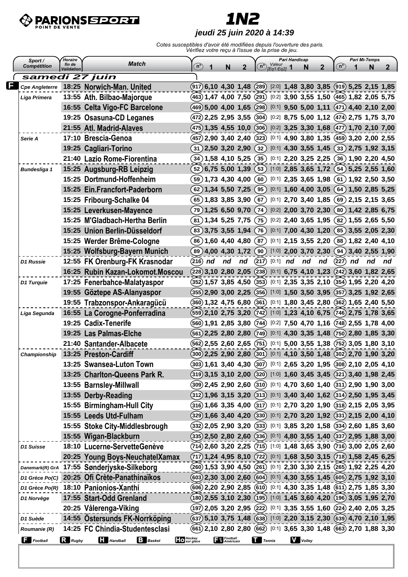

# **1N2**

#### **jeudi 25 juin 2020 à 14:39**

| Horaire<br>Sport /<br>fin de |                   |                                              | <b>Match</b>    |                     |                                                                            |                           |              | Pari Handicap<br>Valeur |            |  |                             | $\mathbf{2}$ |                                                     |    | Pari Mi-Temps  |                       |
|------------------------------|-------------------|----------------------------------------------|-----------------|---------------------|----------------------------------------------------------------------------|---------------------------|--------------|-------------------------|------------|--|-----------------------------|--------------|-----------------------------------------------------|----|----------------|-----------------------|
| <b>Compétition</b>           | Validation        |                                              |                 |                     | $\binom{n}{2}$<br>1                                                        | N                         | $\mathbf{2}$ | $n^{\circ}$             | IEa1:Ea21  |  | N                           |              | ัท°                                                 |    | N              | $\mathbf{2}$          |
| samedi 27 juin               |                   |                                              |                 |                     |                                                                            |                           |              |                         |            |  |                             |              |                                                     |    |                |                       |
| Cpe Angleterre               |                   | 18:25 Norwich-Man. United                    |                 |                     | (917) 6,10 4,30 1,48 (289) [2:0] 1,48 3,80 3,85 (919) 5,25 2,15 1,85       |                           |              |                         |            |  |                             |              |                                                     |    |                |                       |
| Liga Primera                 |                   | 13:55 Ath. Bilbao-Majorque                   |                 |                     | $(463)$ 1,47 4,00 7,50 $(291)$                                             |                           |              |                         |            |  |                             |              | $[0:2]$ 3,90 3,55 1,50 (465) 1,82 2,05 5,75         |    |                |                       |
|                              |                   | 16:55 Celta Vigo-FC Barcelone                |                 |                     | $(469)$ 5,00 4,00 1,65 $(298)$                                             |                           |              |                         |            |  |                             |              | $[0:1]$ 9,50 5,00 1,11 (471) 4,40 2,10 2,00         |    |                |                       |
|                              |                   | 19:25 Osasuna-CD Leganes                     |                 |                     | $(472)$ 2,25 2,95 3,55 $(304)$                                             |                           |              |                         |            |  |                             |              | $[0.2]$ 8,75 5,00 1,12 (474) 2,75 1,75 3,70         |    |                |                       |
|                              |                   | 21:55 Atl. Madrid-Alaves                     |                 |                     | $(475)$ 1,35 4,55 10,0                                                     |                           |              |                         |            |  |                             |              | $(306)$ [0:2] 3,25 3,30 1,68 $(477)$ 1,70 2,10 7,00 |    |                |                       |
| Serie A                      |                   | 17:10 Brescia-Genoa                          |                 |                     | $(457)$ 2,90 3,40 2,40                                                     |                           |              | (323)                   |            |  |                             |              | $[0:1]$ 4,90 3,80 1,35 (459) 3,20 2,00 2,55         |    |                |                       |
|                              |                   | 19:25 Cagliari-Torino                        |                 |                     | $(31)$ 2,50 3,20 2,90                                                      |                           |              | $\left(32\right)$       |            |  | $[0:1]$ 4,30 3,55 1,45      |              |                                                     |    |                | $(33)$ 2,75 1,92 3,15 |
|                              |                   | 21:40 Lazio Rome-Fiorentina                  |                 |                     | $(34)$ 1,58 4,10 5,25                                                      |                           |              | $\left( 35\right)$      |            |  | $[0:1]$ 2,20 3,25 2,25      |              |                                                     |    |                | $(36)$ 1,90 2,20 4,50 |
| <b>Bundesliga 1</b>          |                   | 15:25 Augsburg-RB Leipzig                    |                 |                     | $(52)$ 6,75 5,00 1,39                                                      |                           |              | (53)                    |            |  | $[1:0]$ 2,85 3,65 1,72 (54) |              |                                                     |    |                | 5,25 2,55 1,60        |
|                              |                   | 15:25 Dortmund-Hoffenheim                    |                 |                     | $(59)$ 1,73 4,30 4,00                                                      |                           |              | $\left[60\right)$       |            |  | $[0:1]$ 2,35 3,65 1,98 (61) |              |                                                     |    |                | 1,92 2,50 3,50        |
|                              |                   | 15:25 Ein.Francfort-Paderborn                |                 |                     | $(62)$ 1,34 5,50 7,25                                                      |                           |              | (95)                    |            |  | $[0:1]$ 1,60 4,00 3,05      |              | (64)                                                |    |                | 1,50 2,85 5,25        |
|                              |                   | 15:25 Fribourg-Schalke 04                    |                 |                     | $(65)$ 1,83 3,85 3,90                                                      |                           |              | $\left[ 67\right)$      |            |  | $[0:1]$ 2,70 3,40 1,85 (69) |              |                                                     |    |                | 2,15 2,15 3,65        |
|                              |                   | 15:25 Leverkusen-Mayence                     |                 |                     | $(79)$ 1,25 6,50 9,70                                                      |                           |              | (74)                    |            |  | [0:2] $2,00$ 3,70 $2,30$    |              |                                                     |    |                | $(80)$ 1,42 2,85 6,75 |
|                              |                   | 15:25 M'Gladbach-Hertha Berlin               |                 |                     | $(81)$ 1,34 5,25 7,75                                                      |                           |              | (75)                    |            |  | $[0:2]$ 2,40 3,65 1,95      |              | (82)                                                |    |                | 1,55 2,65 5,50        |
|                              |                   | 15:25 Union Berlin-Düsseldorf                |                 |                     | $(83)$ 3,75 3,55 1,94                                                      |                           |              | (76)                    |            |  | $[0:1]$ 7,00 4,30 1,20      |              |                                                     |    |                | $(85)$ 3,55 2,05 2,30 |
|                              |                   | 15:25 Werder Brême-Cologne                   |                 |                     | $(86)$ 1,60 4,40 4,80                                                      |                           |              | $\left[ 87\right)$      |            |  | $[0:1]$ 2,15 3,55 2,20      |              | (88)                                                |    | 1,82 2,40 4,10 |                       |
|                              |                   | 15:25 Wolfsburg-Bayern Munich                |                 |                     | (89)4,004,301,72                                                           |                           |              | 90)                     |            |  | $[1:0]$ 2,00 3,70 2,30      |              | (94)                                                |    | 3,40 2,55 1,90 |                       |
| D1 Russie                    |                   | 12:55 FK Orenburg-FK Krasnodar               |                 |                     | (216)<br>nd                                                                | nd                        | nd           | (217)                   | $[0:1]$ nd |  | nd                          | nd           | (227)                                               | nd | nd             | nd                    |
|                              |                   | 16:25 Rubin Kazan-Lokomot.Moscou             |                 |                     | $(228)$ 3,10 2,80 2,05                                                     |                           |              | (238)                   |            |  |                             |              | $[0:1]$ 6,75 4,10 1,23 (242) 3,60 1,82 2,65         |    |                |                       |
| D1 Turquie                   |                   | 17:25 Fenerbahce-Malatyaspor                 |                 |                     | $(352)$ 1,57 3,85 4,50 $(353)$                                             |                           |              |                         |            |  |                             |              | $[0:1]$ 2,35 3,35 2,10 (354) 1,95 2,20 4,20         |    |                |                       |
|                              |                   | 19:55 Göztepe AS-Alanyaspor                  |                 |                     | $(355)$ 2,90 3,00 2,25                                                     |                           |              | (356)                   |            |  |                             |              | $[1:0]$ 1,50 3,50 3,95 (357) 3,25 1,92 2,65         |    |                |                       |
|                              |                   | 19:55 Trabzonspor-Ankaragücü                 |                 |                     | $(360)$ 1,32 4,75 6,80                                                     |                           |              | (361)                   |            |  |                             |              | $[0:1]$ 1,80 3,45 2,80 (362) 1,65 2,40 5,50         |    |                |                       |
| Liga Segunda                 |                   | 16:55 La Corogne-Ponferradina                |                 |                     | $(559)$ 2,10 2,75 3,20 $(742)$                                             |                           |              |                         |            |  |                             |              | $[1:0]$ 1,23 4,10 6,75 (746) 2,75 1,78 3,65         |    |                |                       |
|                              |                   | 19:25 Cadix-Tenerife                         |                 |                     | $(560)$ 1,91 2,85 3,80 $(744)$                                             |                           |              |                         |            |  |                             |              | $[0:2]$ 7,50 4,70 1,16 (748) 2,55 1,78 4,00         |    |                |                       |
|                              |                   | 19:25 Las Palmas-Elche                       |                 |                     | $(561)$ 2,25 2,80 2,80                                                     |                           |              | (749)                   |            |  |                             |              | $[0:1]$ 4,30 3,35 1,48 (750) 2,80 1,85 3,30         |    |                |                       |
|                              |                   | 21:40 Santander-Albacete                     |                 |                     | $(562)$ 2,55 2,60 2,65 $(751)$                                             |                           |              |                         |            |  |                             |              | $[0:1]$ 5,00 3,55 1,38 (752) 3,05 1,80 3,10         |    |                |                       |
| Championship                 |                   | 13:25 Preston-Cardiff                        |                 |                     | (300) 2,25 2,90 2,80 (301) [0:1] 4,10 3,50 1,48 (302) 2,70 1,90 3,20       |                           |              |                         |            |  |                             |              |                                                     |    |                |                       |
|                              |                   | 13:25 Swansea-Luton Town                     |                 |                     | $(303)$ 1,61 3,40 4,30 $(307)$ [0:1] 2,65 3,20 1,95 $(308)$ 2,10 2,05 4,10 |                           |              |                         |            |  |                             |              |                                                     |    |                |                       |
|                              |                   | 13:25 Charlton-Queens Park R.                |                 |                     | $(319)$ 3,15 3,10 2,00 $(320)$ [1:0] 1,60 3,45 3,45 $(321)$ 3,40 1,98 2,45 |                           |              |                         |            |  |                             |              |                                                     |    |                |                       |
|                              |                   | 13:55 Barnsley-Millwall                      |                 |                     | $(309)$ 2,45 2,90 2,60 $(310)$ [0:1] 4,70 3,60 1,40 $(311)$ 2,90 1,90 3,00 |                           |              |                         |            |  |                             |              |                                                     |    |                |                       |
|                              |                   | 13:55 Derby-Reading                          |                 |                     | $(312)$ 1,96 3,15 3,20 $(313)$ [0:1] 3,40 3,40 1,62 $(314)$ 2,50 1,95 3,45 |                           |              |                         |            |  |                             |              |                                                     |    |                |                       |
|                              |                   | 15:55 Birmingham-Hull City                   |                 |                     | $(316)$ 1,66 3,35 4,00 $(317)$ [0:1] 2,70 3,20 1,90 $(318)$ 2,15 2,05 3,95 |                           |              |                         |            |  |                             |              |                                                     |    |                |                       |
|                              |                   | 15:55 Leeds Utd-Fulham                       |                 |                     | $(329)$ 1,66 3,40 4,20 $(330)$ [0:1] 2,70 3,20 1,92 $(331)$ 2,15 2,00 4,10 |                           |              |                         |            |  |                             |              |                                                     |    |                |                       |
|                              |                   | 15:55 Stoke City-Middlesbrough               |                 |                     | $(332)$ 2,05 2,90 3,20 $(333)$ [0:1] 3,85 3,20 1,58 $(334)$ 2,60 1,85 3,60 |                           |              |                         |            |  |                             |              |                                                     |    |                |                       |
|                              |                   | 15:55 Wigan-Blackburn                        |                 |                     | $(335)$ 2,50 2,80 2,60 $(336)$ [0:1] 4,80 3,55 1,40 $(337)$ 2,95 1,88 3,00 |                           |              |                         |            |  |                             |              |                                                     |    |                |                       |
| D1 Suisse                    |                   | 18:10 Lucerne-ServetteGenève                 |                 |                     | $(714)$ 2,60 3,20 2,25 $(715)$ [1:0] 1,48 3,65 3,90 $(716)$ 3,00 2,05 2,60 |                           |              |                         |            |  |                             |              |                                                     |    |                |                       |
|                              |                   | 20:25 Young Boys-NeuchatelXamax              |                 |                     | $(717)$ 1,24 4,95 8,10 $(722)$ [0:1] 1,68 3,50 3,15 $(718)$ 1,58 2,45 6,25 |                           |              |                         |            |  |                             |              |                                                     |    |                |                       |
|                              |                   | Danemark(R) GrA 17:55 Sønderjyske-Silkeborg  |                 |                     | (260) 1,53 3,90 4,50 (261) [0:1] 2,30 3,30 2,15 (265) 1,92 2,25 4,20       |                           |              |                         |            |  |                             |              |                                                     |    |                |                       |
|                              |                   | D1 Grèce Po(C) 20:25 Ofi Crète-Panathinaïkos |                 |                     | (603) 2,30 3,00 2,60 (604) [0:1] 4,30 3,55 1,45 (605) 2,75 1,92 3,10       |                           |              |                         |            |  |                             |              |                                                     |    |                |                       |
|                              |                   | D1 Grèce Po(R) 18:10 Panionios-Xanthi        |                 |                     | (606) 2,20 2,90 2,85 (610) [0:1] 4,30 3,35 1,48 (611) 2,75 1,85 3,30       |                           |              |                         |            |  |                             |              |                                                     |    |                |                       |
| D1 Norvège                   |                   | 17:55 Start-Odd Grenland                     |                 |                     | $(180)$ 2,55 3,10 2,30 $(195)$ [1:0] 1,45 3,60 4,20 $(196)$ 3,05 1,95 2,70 |                           |              |                         |            |  |                             |              |                                                     |    |                |                       |
|                              |                   | 20:25 Vålerenga-Viking                       |                 |                     | $(197)$ 2,05 3,20 2,95 $(222)$ [0:1] 3,35 3,55 1,60 $(224)$ 2,40 2,05 3,25 |                           |              |                         |            |  |                             |              |                                                     |    |                |                       |
| D1 Suède                     |                   | 14:55 Östersunds FK-Norrköping               |                 |                     | $(637)$ 5,10 3,75 1,48 $(638)$ [1:0] 2,20 3,15 2,30 $(639)$ 4,70 2,10 1,95 |                           |              |                         |            |  |                             |              |                                                     |    |                |                       |
| Roumanie (R)                 |                   | 14:25 FC Chindia-Studentesclasi              |                 |                     | (661) 2,10 2,80 2,80 (662) [0:1] 3,65 3,30 1,48 (663) 2,70 1,88 3,30       |                           |              |                         |            |  |                             |              |                                                     |    |                |                       |
|                              |                   |                                              |                 |                     |                                                                            | <b>Francisco Football</b> |              |                         |            |  |                             |              |                                                     |    |                |                       |
| $\Box$ Football              | $\mathbf R$ Rugby | <b>Handball</b>                              | <b>B</b> Basket | Hockey<br>Sur glace |                                                                            |                           |              | $\prod$ Tennis          |            |  | <b>V</b> Volley             |              |                                                     |    |                |                       |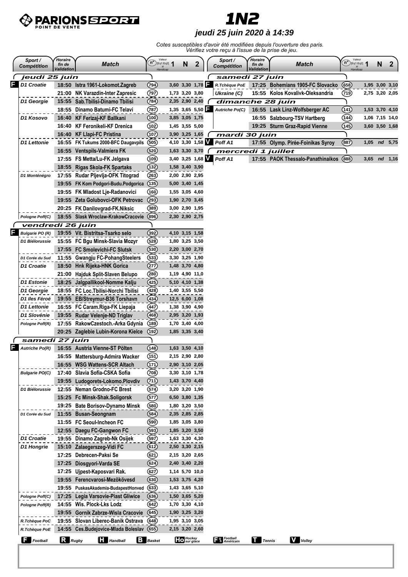

### **1N2 jeudi 25 juin 2020 à 14:39**

|   | Sport /<br><b>Compétition</b> | Horaire<br>fin de<br><b>Validation</b> | <b>Match</b>                         | Valeur<br>$\mathbf{n}^{\circ}$ (Eq1:Eq2) $\mathbf{1}$ | N                                    | $\mathbf{2}$ | Sport /<br><b>Compétition</b>   | Horaire<br>fin de<br>Validation | <b>Match</b>                      | Valeur<br>$(n^{\circ})_{[Eq1:Eq2]}$<br>si<br>Handicap | N                | 2 |
|---|-------------------------------|----------------------------------------|--------------------------------------|-------------------------------------------------------|--------------------------------------|--------------|---------------------------------|---------------------------------|-----------------------------------|-------------------------------------------------------|------------------|---|
|   | jeudi 25 juin                 |                                        |                                      |                                                       |                                      |              | samedi 27 juin                  |                                 |                                   |                                                       |                  |   |
|   | D1 Croatie                    |                                        | 18:50 Istra 1961-Lokomot.Zagreb      | (794)                                                 | 3,60 3,30 1,78                       |              | R.Tchèque PoE                   |                                 | 17:25 Bohemians 1905-FC Slovacko  | (658)                                                 | 1,95 3,00 3,10   |   |
|   |                               |                                        | 21:00 NK Varazdin-Inter Zapresic     | (797)                                                 | 1,73 3,20 3,80                       |              | Ukraine (C)                     |                                 | 15:55 Kolos Kovalivk-Oleksandria  | (719)                                                 | 2,75 3,20 2,05   |   |
|   | D1 Georgie                    |                                        | 15:55 Sab. Tbilisi-Dinamo Tbilisi    | (784)                                                 | 2,35 2,90 2,40                       |              | dimanche 28 juin                |                                 |                                   |                                                       |                  |   |
|   |                               |                                        | 18:55 Dinamo Batumi-FC Telavi        | (787)                                                 | $1,35$ 3,65 5,50                     |              | <b>Autriche Po(C)</b>           |                                 | 16:55 Lask Linz-Wolfsberger AC    | (141)                                                 | 1,53 3,70 4,10   |   |
|   | D1 Kosovo                     |                                        | 16:40 KF Ferizaj-KF Ballkani         | (100)                                                 | 3,85 3,05 1,75                       |              |                                 |                                 | 16:55 Salzbourg-TSV Hartberg      | 144)                                                  | 1,06 7,15 14,0   |   |
|   |                               | 16:40                                  | <b>KF Feronikeli-KF Drenica</b>      | (102)                                                 | 1,45 3,55 5,00                       |              |                                 |                                 | 19:25 Sturm Graz-Rapid Vienne     | (145)                                                 | 3,60 3,50 1,68   |   |
|   |                               | 16:40                                  | <b>KF Llapi-FC Pristina</b>          | (107)                                                 | $3,90$ $3,25$ $1,65$ (               |              | mardi 30 juin                   |                                 |                                   |                                                       |                  |   |
|   | D1 Lettonie                   |                                        | 16:55 FK Tukums 2000-BFC Daugavpils  | (505)                                                 |                                      |              | 4,10 3,30 1,58 Poff A1          |                                 | 17:55 Olymp. Pirée-Foinikas Syroy | (887)                                                 | $1,05$ nd $5,75$ |   |
|   |                               |                                        | 16:55 Ventspils-Valmiera FK          | (520)                                                 | $1,63$ 3,30 3,70 $\binom{1}{2}$      |              | mercredi 1 juillet              |                                 |                                   |                                                       |                  |   |
|   |                               |                                        | 17:55 FS Metta/Lu-FK Jelgava         | (109)                                                 |                                      |              | 3,40 3,25 1,68 Poff A1          |                                 | 17:55 PAOK Thessalo-Panathinaikos | (888)                                                 | $3,65$ nd $1,16$ |   |
|   |                               |                                        | 18:55 Rigas Skola-FK Spartaks        | (132)                                                 | 1,58 3,40 3,90                       |              |                                 |                                 |                                   |                                                       |                  |   |
|   | D1 Monténégro                 |                                        | 17:55 Rudar Pljevlja-OFK Titograd    | (263)                                                 | 2,00 2,90 2,95                       |              |                                 |                                 |                                   |                                                       |                  |   |
|   |                               |                                        | 19:55 FK Kom Podgori-Budu.Podgorica  | (135)                                                 | 5,00 3,40 1,45                       |              |                                 |                                 |                                   |                                                       |                  |   |
|   |                               |                                        | 19:55 FK Mladost Lje-Radanovici      | (160)                                                 | 1,55 3,05 4,60                       |              |                                 |                                 |                                   |                                                       |                  |   |
|   |                               |                                        | 19:55 Zeta Golubovci-OFK Petrovac    | (293)                                                 | 1,90 2,70 3,45                       |              |                                 |                                 |                                   |                                                       |                  |   |
|   |                               |                                        | 20:25 FK Danilovgrad-FK.Niksic       | (389)                                                 | 3,00 2,90 1,95                       |              |                                 |                                 |                                   |                                                       |                  |   |
|   | Pologne Poff(C)               |                                        | 18:55 Slask Wroclaw-KrakowCracovie   | (896)                                                 | 2,30 2,90 2,75                       |              |                                 |                                 |                                   |                                                       |                  |   |
|   | vendredi 26 juin              |                                        |                                      |                                                       |                                      |              |                                 |                                 |                                   |                                                       |                  |   |
|   | <b>Bulgarie PO (R)</b>        |                                        | 19:55 Vit. Bistritsa-Tsarko selo     | (392)                                                 | 4,10 3,15 1,58                       |              |                                 |                                 |                                   |                                                       |                  |   |
|   | D1 Biélorussie                |                                        | 15:55 FC Bgu Minsk-Slavia Mozyr      | (528)                                                 | 1,80 3,25 3,50                       |              |                                 |                                 |                                   |                                                       |                  |   |
|   |                               |                                        | 17:55 FC Smolevichi-FC Slutsk        | (530)                                                 | 2,20 3,00 2,70                       |              |                                 |                                 |                                   |                                                       |                  |   |
|   | D1 Corée du Sud               |                                        | 11:55 Gwangju FC-PohangSteelers      | (533)                                                 | 3,30 3,25 1,90                       |              |                                 |                                 |                                   |                                                       |                  |   |
|   | D1 Croatie                    |                                        | 18:50 Hnk Rijeka-HNK Gorica          | (277)                                                 | 1,48 3,70 4,80                       |              |                                 |                                 |                                   |                                                       |                  |   |
|   |                               |                                        | 21:00 Hajduk Split-Slaven Belupo     | (280)                                                 | 1,19 4,90 11,0                       |              |                                 |                                 |                                   |                                                       |                  |   |
|   |                               |                                        |                                      |                                                       |                                      |              |                                 |                                 |                                   |                                                       |                  |   |
|   | D1 Estonie                    |                                        | 18:25 Jalgpallikool-Nomme Kalju      | (425)                                                 | 5,10 4,10 1,38                       |              |                                 |                                 |                                   |                                                       |                  |   |
|   | D1 Georgie                    |                                        | 18:55 FC Loc. Tbilisi-Norchi Tbilisi | (428)                                                 | 1,40 3,55 5,50                       |              |                                 |                                 |                                   |                                                       |                  |   |
|   | D1 lles Féroé                 |                                        | 19:55 EB/Streymur-B36 Torshavn       | (434)                                                 | 12,5 6,00 1,08                       |              |                                 |                                 |                                   |                                                       |                  |   |
|   | D1 Lettonie                   |                                        | 16:55 FC Caram.Riga-FK Liepaja       | (447)                                                 | 1,38 3,90 4,90                       |              |                                 |                                 |                                   |                                                       |                  |   |
|   | D1 Slovénie                   |                                        | 19:55 Rudar Velenje-ND Triglav       | 468                                                   | 2,95 3,20 1,93                       |              |                                 |                                 |                                   |                                                       |                  |   |
|   | Pologne Poff(R)               |                                        | 17:55 RakowCzestoch.-Arka Gdynia     | (189)                                                 | 1,70 3,40 4,00                       |              |                                 |                                 |                                   |                                                       |                  |   |
|   |                               |                                        | 20:25 Zaglebie Lubin-Korona Kielce   | (192)                                                 | 1,85 3,35 3,40                       |              |                                 |                                 |                                   |                                                       |                  |   |
|   | samedi 27 juin                |                                        |                                      |                                                       |                                      |              |                                 |                                 |                                   |                                                       |                  |   |
| F | <b>Autriche Po(R)</b>         |                                        | 16:55 Austria Vienne-ST Pölten       | (148)                                                 | 1,63 3,50 4,10                       |              |                                 |                                 |                                   |                                                       |                  |   |
|   |                               |                                        | 16:55 Mattersburg-Admira Wacker      | (151)                                                 | 2,15 2,90 2,80                       |              |                                 |                                 |                                   |                                                       |                  |   |
|   |                               |                                        | 16:55 WSG Wattens-SCR Altach         | (171)                                                 | 2,90 3,10 2,05                       |              |                                 |                                 |                                   |                                                       |                  |   |
|   | <b>Bulgarie PO(C)</b>         | 17:40                                  | Slavia Sofia-CSKA Sofia              | (708)                                                 | 3,30 3,10 1,78                       |              |                                 |                                 |                                   |                                                       |                  |   |
|   |                               |                                        | 19:55 Ludogorets-Lokomo.Plovdiv      | (711)                                                 | 1,43 3,70 4,40                       |              |                                 |                                 |                                   |                                                       |                  |   |
|   | D1 Biélorussie                |                                        | 12:55 Neman Grodno-FC Brest          | (574)                                                 | 3,20 3,20 1,90                       |              |                                 |                                 |                                   |                                                       |                  |   |
|   |                               |                                        | 15:25 Fc Minsk-Shak.Soligorsk        | (57)                                                  | 6,50 3,80 1,35                       |              |                                 |                                 |                                   |                                                       |                  |   |
|   |                               | 19:25                                  | <b>Bate Borisov-Dynamo Minsk</b>     | (580)                                                 | 1,80 3,20 3,50                       |              |                                 |                                 |                                   |                                                       |                  |   |
|   | D1 Corée du Sud               |                                        | 11:55 Busan-Seongnam                 | (584)                                                 | 2,35 2,85 2,85                       |              |                                 |                                 |                                   |                                                       |                  |   |
|   |                               | 11:55                                  | FC Seoul-Incheon FC                  | (590)                                                 | 1,85 3,05 3,80                       |              |                                 |                                 |                                   |                                                       |                  |   |
|   |                               |                                        | 12:55 Daegu FC-Gangwon FC            | (593)                                                 | 1,85 3,20 3,50                       |              |                                 |                                 |                                   |                                                       |                  |   |
|   | D1 Croatie                    |                                        | 19:55 Dinamo Zagreb-Nk Osijek        | (597)                                                 | 1,63 3,30 4,30                       |              |                                 |                                 |                                   |                                                       |                  |   |
|   | D1 Hongrie                    | 15:10                                  | Zalaegerszeg-Vidi FC                 | (612)                                                 | 2,50 3,30 2,15                       |              |                                 |                                 |                                   |                                                       |                  |   |
|   |                               | 17:25                                  | Debrecen-Paksi Se                    | (62)                                                  | 2,15 3,20 2,65                       |              |                                 |                                 |                                   |                                                       |                  |   |
|   |                               | 17:25                                  | Diosgyori-Varda SE                   | (624)                                                 | 2,40 3,40 2,20                       |              |                                 |                                 |                                   |                                                       |                  |   |
|   |                               | 17:25                                  | Ujpest-Kaposvari Rak.                | $\left( 627\right)$                                   | 1,14 5,70 10,0                       |              |                                 |                                 |                                   |                                                       |                  |   |
|   |                               |                                        | 19:55 Ferencvarosi-Mezökövesd        | (630)                                                 | 1,53 3,75 4,20                       |              |                                 |                                 |                                   |                                                       |                  |   |
|   |                               | 19:55                                  | PuskasAkademia-BudapestHonved        | (633)                                                 | 1,43 3,65 5,10                       |              |                                 |                                 |                                   |                                                       |                  |   |
|   | Pologne Poff(C)               |                                        | 17:25 Legia Varsovie-Piast Gliwice   | (636)                                                 | 1,50 3,65 5,20                       |              |                                 |                                 |                                   |                                                       |                  |   |
|   | Pologne Poff(R)               |                                        | 14:55 Wis. Plock-Lks Lodz            | (642)                                                 | 1,70 3,30 4,10                       |              |                                 |                                 |                                   |                                                       |                  |   |
|   |                               | 19:55                                  | <b>Gornik Zabrze-Wisla Cracovie</b>  | (645)                                                 | 1,90 3,25 3,20                       |              |                                 |                                 |                                   |                                                       |                  |   |
|   | R.Tchèque PoC                 |                                        | 19:55 Slovan Liberec-Banik Ostrava   | (648)                                                 | 1,95 3,10 3,05                       |              |                                 |                                 |                                   |                                                       |                  |   |
|   | R.Tchèque PoE                 |                                        | 14:55 Ces.Budejovice-Mlada Boleslav  | (655)                                                 | 2,15 3,20 2,60                       |              |                                 |                                 |                                   |                                                       |                  |   |
|   | $\Box$ Football               | $\mathbf R$ Rugby                      | <b>Handball</b>                      | <b>B</b> Basket                                       | Hockey<br><b>Hockey</b><br>sur glace |              | <b>Fu</b> Football<br>Américain | $\prod$ Tennis                  | <b>V</b> Volley                   |                                                       |                  |   |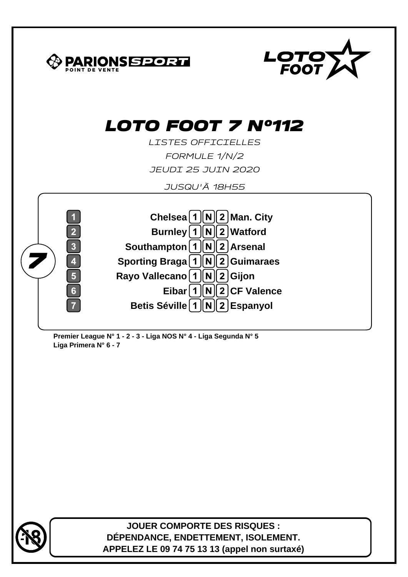



**JOUER COMPORTE DES RISQUES : DÉPENDANCE, ENDETTEMENT, ISOLEMENT. APPELEZ LE 09 74 75 13 13 (appel non surtaxé)**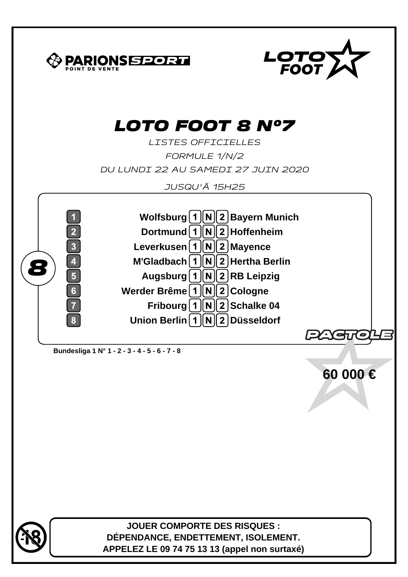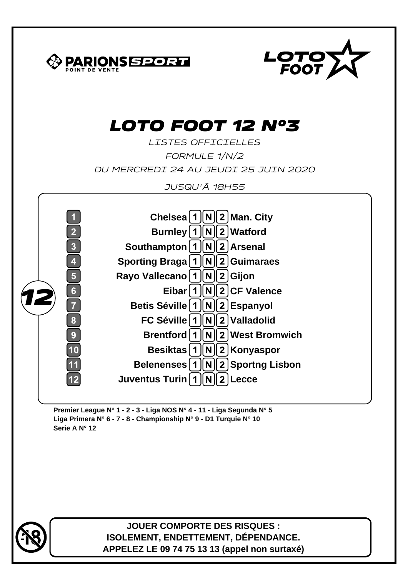

**Premier League N° 1 - 2 - 3 - Liga NOS N° 4 - 11 - Liga Segunda N° 5 Liga Primera N° 6 - 7 - 8 - Championship N° 9 - D1 Turquie N° 10 Serie A N° 12**



**JOUER COMPORTE DES RISQUES : ISOLEMENT, ENDETTEMENT, DÉPENDANCE. APPELEZ LE 09 74 75 13 13 (appel non surtaxé)**